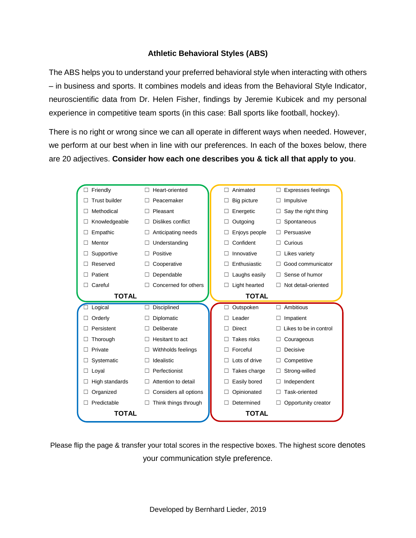## **Athletic Behavioral Styles (ABS)**

The ABS helps you to understand your preferred behavioral style when interacting with others – in business and sports. It combines models and ideas from the Behavioral Style Indicator, neuroscientific data from Dr. Helen Fisher, findings by Jeremie Kubicek and my personal experience in competitive team sports (in this case: Ball sports like football, hockey).

There is no right or wrong since we can all operate in different ways when needed. However, we perform at our best when in line with our preferences. In each of the boxes below, there are 20 adjectives. **Consider how each one describes you & tick all that apply to you**.

| Friendly              | Heart-oriented        | Animated           | <b>Expresses feelings</b> |
|-----------------------|-----------------------|--------------------|---------------------------|
| <b>Trust builder</b>  | Peacemaker            | Big picture        | Impulsive                 |
| Methodical            | Pleasant              | Energetic          | Say the right thing       |
| Knowledgeable         | Dislikes conflict     | Outgoing           | Spontaneous               |
| Empathic              | Anticipating needs    | Enjoys people      | Persuasive                |
| Mentor                | Understanding         | Confident          | Curious<br>П              |
| Supportive            | Positive              | Innovative         | Likes variety<br>П        |
| Reserved              | Cooperative           | Enthusiastic       | Good communicator         |
| Patient<br>$\Box$     | Dependable            | Laughs easily      | Sense of humor<br>П       |
| Careful               | Concerned for others  | Light hearted      | Not detail-oriented       |
| <b>TOTAL</b>          |                       | <b>TOTAL</b>       |                           |
| Logical               | <b>Disciplined</b>    | Outspoken          | Ambitious<br>П            |
| Orderly<br>П          | Diplomatic            | Leader             | Impatient                 |
| Persistent            | Deliberate            | <b>Direct</b>      | Likes to be in control    |
| Thorough              | Hesitant to act       | <b>Takes risks</b> | Courageous<br>П           |
| Private               | Withholds feelings    | Forceful           | Decisive                  |
| Systematic            | Idealistic            | Lots of drive      | Competitive               |
| Loval<br>П            | Perfectionist         | Takes charge       | Strong-willed<br>П        |
| High standards        | Attention to detail   | Easily bored       | Independent<br>П          |
| Organized             | Considers all options | Opinionated        | Task-oriented             |
| Predictable<br>$\Box$ | Think things through  | Determined         | Opportunity creator       |
| <b>TOTAL</b>          |                       | <b>TOTAL</b>       |                           |

Please flip the page & transfer your total scores in the respective boxes. The highest score denotes your communication style preference.